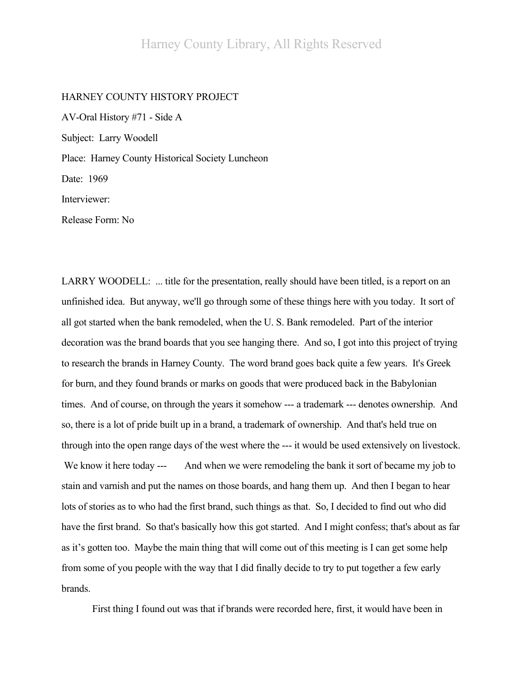## HARNEY COUNTY HISTORY PROJECT

AV-Oral History #71 - Side A Subject: Larry Woodell Place: Harney County Historical Society Luncheon Date: 1969 Interviewer: Release Form: No

LARRY WOODELL: ... title for the presentation, really should have been titled, is a report on an unfinished idea. But anyway, we'll go through some of these things here with you today. It sort of all got started when the bank remodeled, when the U. S. Bank remodeled. Part of the interior decoration was the brand boards that you see hanging there. And so, I got into this project of trying to research the brands in Harney County. The word brand goes back quite a few years. It's Greek for burn, and they found brands or marks on goods that were produced back in the Babylonian times. And of course, on through the years it somehow --- a trademark --- denotes ownership. And so, there is a lot of pride built up in a brand, a trademark of ownership. And that's held true on through into the open range days of the west where the --- it would be used extensively on livestock. We know it here today --- And when we were remodeling the bank it sort of became my job to stain and varnish and put the names on those boards, and hang them up. And then I began to hear lots of stories as to who had the first brand, such things as that. So, I decided to find out who did have the first brand. So that's basically how this got started. And I might confess; that's about as far as it's gotten too. Maybe the main thing that will come out of this meeting is I can get some help from some of you people with the way that I did finally decide to try to put together a few early brands.

First thing I found out was that if brands were recorded here, first, it would have been in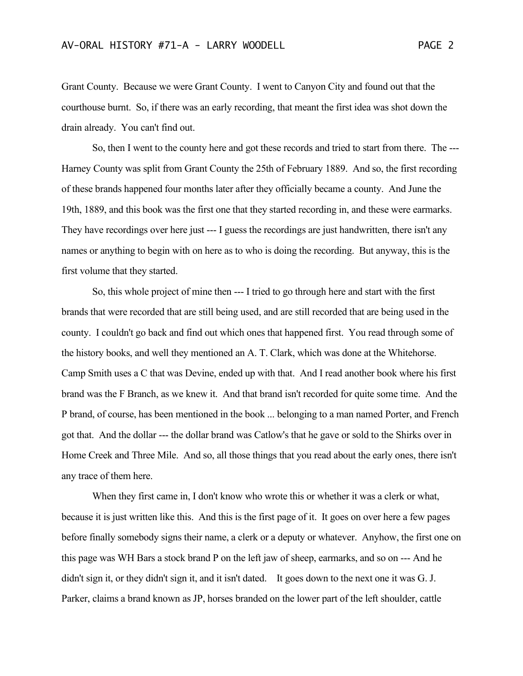Grant County. Because we were Grant County. I went to Canyon City and found out that the courthouse burnt. So, if there was an early recording, that meant the first idea was shot down the drain already. You can't find out.

So, then I went to the county here and got these records and tried to start from there. The --- Harney County was split from Grant County the 25th of February 1889. And so, the first recording of these brands happened four months later after they officially became a county. And June the 19th, 1889, and this book was the first one that they started recording in, and these were earmarks. They have recordings over here just --- I guess the recordings are just handwritten, there isn't any names or anything to begin with on here as to who is doing the recording. But anyway, this is the first volume that they started.

So, this whole project of mine then --- I tried to go through here and start with the first brands that were recorded that are still being used, and are still recorded that are being used in the county. I couldn't go back and find out which ones that happened first. You read through some of the history books, and well they mentioned an A. T. Clark, which was done at the Whitehorse. Camp Smith uses a C that was Devine, ended up with that. And I read another book where his first brand was the F Branch, as we knew it. And that brand isn't recorded for quite some time. And the P brand, of course, has been mentioned in the book ... belonging to a man named Porter, and French got that. And the dollar --- the dollar brand was Catlow's that he gave or sold to the Shirks over in Home Creek and Three Mile. And so, all those things that you read about the early ones, there isn't any trace of them here.

When they first came in, I don't know who wrote this or whether it was a clerk or what, because it is just written like this. And this is the first page of it. It goes on over here a few pages before finally somebody signs their name, a clerk or a deputy or whatever. Anyhow, the first one on this page was WH Bars a stock brand P on the left jaw of sheep, earmarks, and so on --- And he didn't sign it, or they didn't sign it, and it isn't dated. It goes down to the next one it was G. J. Parker, claims a brand known as JP, horses branded on the lower part of the left shoulder, cattle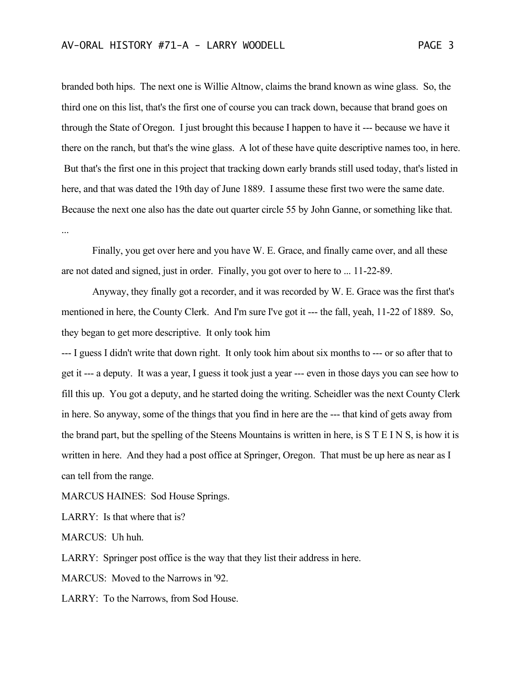branded both hips. The next one is Willie Altnow, claims the brand known as wine glass. So, the third one on this list, that's the first one of course you can track down, because that brand goes on through the State of Oregon. I just brought this because I happen to have it --- because we have it there on the ranch, but that's the wine glass. A lot of these have quite descriptive names too, in here. But that's the first one in this project that tracking down early brands still used today, that's listed in here, and that was dated the 19th day of June 1889. I assume these first two were the same date. Because the next one also has the date out quarter circle 55 by John Ganne, or something like that. ...

Finally, you get over here and you have W. E. Grace, and finally came over, and all these are not dated and signed, just in order. Finally, you got over to here to ... 11-22-89.

Anyway, they finally got a recorder, and it was recorded by W. E. Grace was the first that's mentioned in here, the County Clerk. And I'm sure I've got it --- the fall, yeah, 11-22 of 1889. So, they began to get more descriptive. It only took him

--- I guess I didn't write that down right. It only took him about six months to --- or so after that to get it --- a deputy. It was a year, I guess it took just a year --- even in those days you can see how to fill this up. You got a deputy, and he started doing the writing. Scheidler was the next County Clerk in here. So anyway, some of the things that you find in here are the --- that kind of gets away from the brand part, but the spelling of the Steens Mountains is written in here, is S T E I N S, is how it is written in here. And they had a post office at Springer, Oregon. That must be up here as near as I can tell from the range.

MARCUS HAINES: Sod House Springs.

LARRY: Is that where that is?

MARCUS: Uh huh.

LARRY: Springer post office is the way that they list their address in here.

MARCUS: Moved to the Narrows in '92.

LARRY: To the Narrows, from Sod House.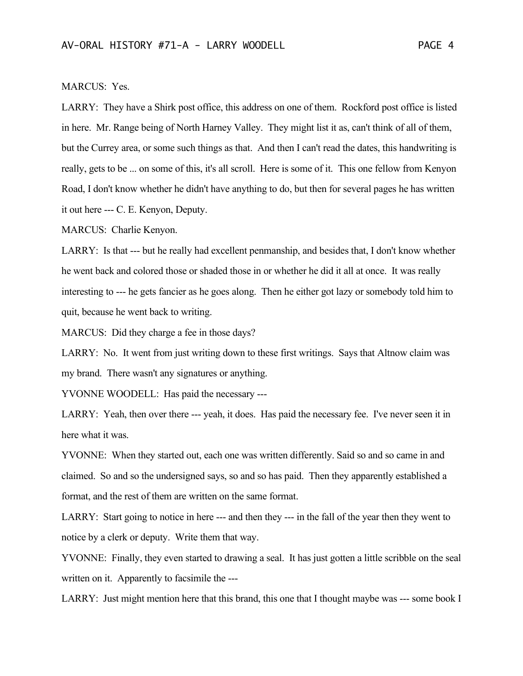## MARCUS: Yes.

LARRY: They have a Shirk post office, this address on one of them. Rockford post office is listed in here. Mr. Range being of North Harney Valley. They might list it as, can't think of all of them, but the Currey area, or some such things as that. And then I can't read the dates, this handwriting is really, gets to be ... on some of this, it's all scroll. Here is some of it. This one fellow from Kenyon Road, I don't know whether he didn't have anything to do, but then for several pages he has written it out here --- C. E. Kenyon, Deputy.

MARCUS: Charlie Kenyon.

LARRY: Is that --- but he really had excellent penmanship, and besides that, I don't know whether he went back and colored those or shaded those in or whether he did it all at once. It was really interesting to --- he gets fancier as he goes along. Then he either got lazy or somebody told him to quit, because he went back to writing.

MARCUS: Did they charge a fee in those days?

LARRY: No. It went from just writing down to these first writings. Says that Altnow claim was my brand. There wasn't any signatures or anything.

YVONNE WOODELL: Has paid the necessary ---

LARRY: Yeah, then over there --- yeah, it does. Has paid the necessary fee. I've never seen it in here what it was.

YVONNE: When they started out, each one was written differently. Said so and so came in and claimed. So and so the undersigned says, so and so has paid. Then they apparently established a format, and the rest of them are written on the same format.

LARRY: Start going to notice in here --- and then they --- in the fall of the year then they went to notice by a clerk or deputy. Write them that way.

YVONNE: Finally, they even started to drawing a seal. It has just gotten a little scribble on the seal written on it. Apparently to facsimile the ---

LARRY: Just might mention here that this brand, this one that I thought maybe was --- some book I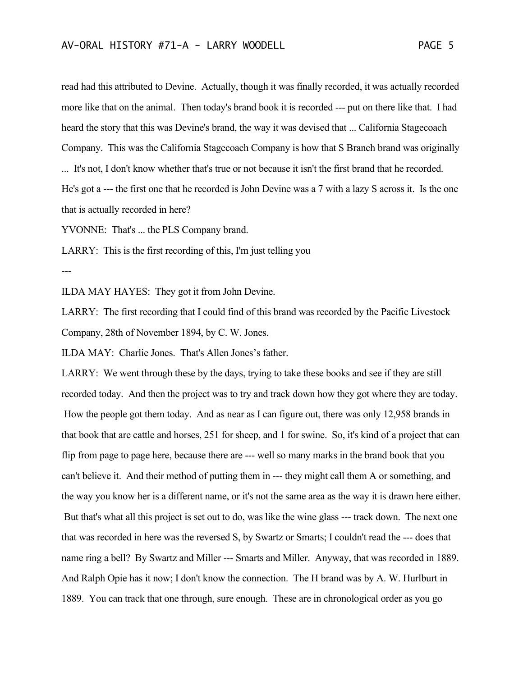read had this attributed to Devine. Actually, though it was finally recorded, it was actually recorded more like that on the animal. Then today's brand book it is recorded --- put on there like that. I had heard the story that this was Devine's brand, the way it was devised that ... California Stagecoach Company. This was the California Stagecoach Company is how that S Branch brand was originally ... It's not, I don't know whether that's true or not because it isn't the first brand that he recorded. He's got a --- the first one that he recorded is John Devine was a 7 with a lazy S across it. Is the one that is actually recorded in here?

YVONNE: That's ... the PLS Company brand.

LARRY: This is the first recording of this, I'm just telling you

---

ILDA MAY HAYES: They got it from John Devine.

LARRY: The first recording that I could find of this brand was recorded by the Pacific Livestock Company, 28th of November 1894, by C. W. Jones.

ILDA MAY: Charlie Jones. That's Allen Jones's father.

LARRY: We went through these by the days, trying to take these books and see if they are still recorded today. And then the project was to try and track down how they got where they are today. How the people got them today. And as near as I can figure out, there was only 12,958 brands in that book that are cattle and horses, 251 for sheep, and 1 for swine. So, it's kind of a project that can flip from page to page here, because there are --- well so many marks in the brand book that you can't believe it. And their method of putting them in --- they might call them A or something, and the way you know her is a different name, or it's not the same area as the way it is drawn here either. But that's what all this project is set out to do, was like the wine glass --- track down. The next one that was recorded in here was the reversed S, by Swartz or Smarts; I couldn't read the --- does that name ring a bell? By Swartz and Miller --- Smarts and Miller. Anyway, that was recorded in 1889. And Ralph Opie has it now; I don't know the connection. The H brand was by A. W. Hurlburt in 1889. You can track that one through, sure enough. These are in chronological order as you go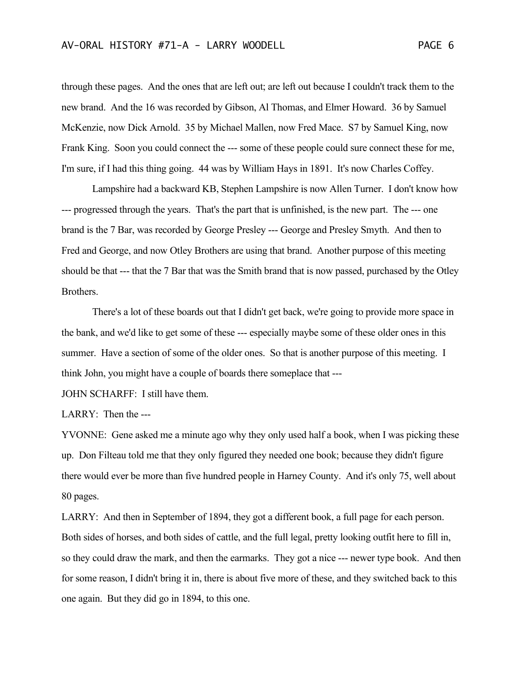through these pages. And the ones that are left out; are left out because I couldn't track them to the new brand. And the 16 was recorded by Gibson, Al Thomas, and Elmer Howard. 36 by Samuel McKenzie, now Dick Arnold. 35 by Michael Mallen, now Fred Mace. S7 by Samuel King, now Frank King. Soon you could connect the --- some of these people could sure connect these for me, I'm sure, if I had this thing going. 44 was by William Hays in 1891. It's now Charles Coffey.

Lampshire had a backward KB, Stephen Lampshire is now Allen Turner. I don't know how --- progressed through the years. That's the part that is unfinished, is the new part. The --- one brand is the 7 Bar, was recorded by George Presley --- George and Presley Smyth. And then to Fred and George, and now Otley Brothers are using that brand. Another purpose of this meeting should be that --- that the 7 Bar that was the Smith brand that is now passed, purchased by the Otley Brothers.

There's a lot of these boards out that I didn't get back, we're going to provide more space in the bank, and we'd like to get some of these --- especially maybe some of these older ones in this summer. Have a section of some of the older ones. So that is another purpose of this meeting. I think John, you might have a couple of boards there someplace that ---

JOHN SCHARFF: I still have them.

LARRY: Then the ---

YVONNE: Gene asked me a minute ago why they only used half a book, when I was picking these up. Don Filteau told me that they only figured they needed one book; because they didn't figure there would ever be more than five hundred people in Harney County. And it's only 75, well about 80 pages.

LARRY: And then in September of 1894, they got a different book, a full page for each person. Both sides of horses, and both sides of cattle, and the full legal, pretty looking outfit here to fill in, so they could draw the mark, and then the earmarks. They got a nice --- newer type book. And then for some reason, I didn't bring it in, there is about five more of these, and they switched back to this one again. But they did go in 1894, to this one.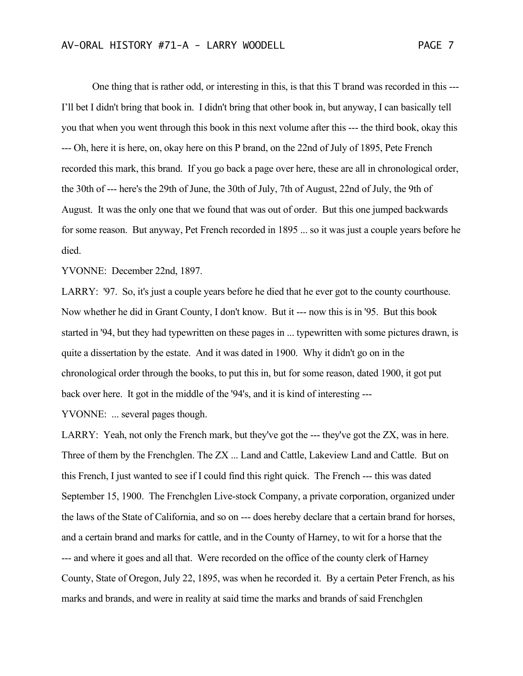One thing that is rather odd, or interesting in this, is that this T brand was recorded in this --- I'll bet I didn't bring that book in. I didn't bring that other book in, but anyway, I can basically tell you that when you went through this book in this next volume after this --- the third book, okay this --- Oh, here it is here, on, okay here on this P brand, on the 22nd of July of 1895, Pete French recorded this mark, this brand. If you go back a page over here, these are all in chronological order, the 30th of --- here's the 29th of June, the 30th of July, 7th of August, 22nd of July, the 9th of August. It was the only one that we found that was out of order. But this one jumped backwards

for some reason. But anyway, Pet French recorded in 1895 ... so it was just a couple years before he died.

YVONNE: December 22nd, 1897.

LARRY: '97. So, it's just a couple years before he died that he ever got to the county courthouse. Now whether he did in Grant County, I don't know. But it --- now this is in '95. But this book started in '94, but they had typewritten on these pages in ... typewritten with some pictures drawn, is quite a dissertation by the estate. And it was dated in 1900. Why it didn't go on in the chronological order through the books, to put this in, but for some reason, dated 1900, it got put back over here. It got in the middle of the '94's, and it is kind of interesting ---

YVONNE: ... several pages though.

LARRY: Yeah, not only the French mark, but they've got the --- they've got the ZX, was in here. Three of them by the Frenchglen. The ZX ... Land and Cattle, Lakeview Land and Cattle. But on this French, I just wanted to see if I could find this right quick. The French --- this was dated September 15, 1900. The Frenchglen Live-stock Company, a private corporation, organized under the laws of the State of California, and so on --- does hereby declare that a certain brand for horses, and a certain brand and marks for cattle, and in the County of Harney, to wit for a horse that the --- and where it goes and all that. Were recorded on the office of the county clerk of Harney County, State of Oregon, July 22, 1895, was when he recorded it. By a certain Peter French, as his marks and brands, and were in reality at said time the marks and brands of said Frenchglen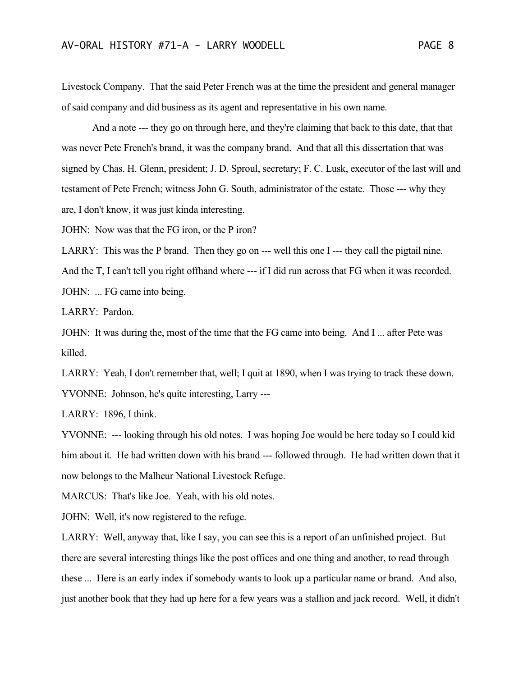Livestock Company. That the said Peter French was at the time the president and general manager of said company and did business as its agent and representative in his own name.

And a note --- they go on through here, and they're claiming that back to this date, that that was never Pete French's brand, it was the company brand. And that all this dissertation that was signed by Chas. H. Glenn, president; J. D. Sproul, secretary; F. C. Lusk, executor of the last will and testament of Pete French; witness John G. South, administrator of the estate. Those --- why they are, I don't know, it was just kinda interesting.

JOHN: Now was that the FG iron, or the P iron?

LARRY: This was the P brand. Then they go on --- well this one I --- they call the pigtail nine.

And the T, I can't tell you right offhand where --- if I did run across that FG when it was recorded. JOHN: ... FG came into being.

LARRY: Pardon.

JOHN: It was during the, most of the time that the FG came into being. And I ... after Pete was killed.

LARRY: Yeah, I don't remember that, well; I quit at 1890, when I was trying to track these down. YVONNE: Johnson, he's quite interesting, Larry ---

LARRY: 1896, I think.

YVONNE: --- looking through his old notes. I was hoping Joe would be here today so I could kid him about it. He had written down with his brand --- followed through. He had written down that it now belongs to the Malheur National Livestock Refuge.

MARCUS: That's like Joe. Yeah, with his old notes.

JOHN: Well, it's now registered to the refuge.

LARRY: Well, anyway that, like I say, you can see this is a report of an unfinished project. But there are several interesting things like the post offices and one thing and another, to read through these ... Here is an early index if somebody wants to look up a particular name or brand. And also, just another book that they had up here for a few years was a stallion and jack record. Well, it didn't